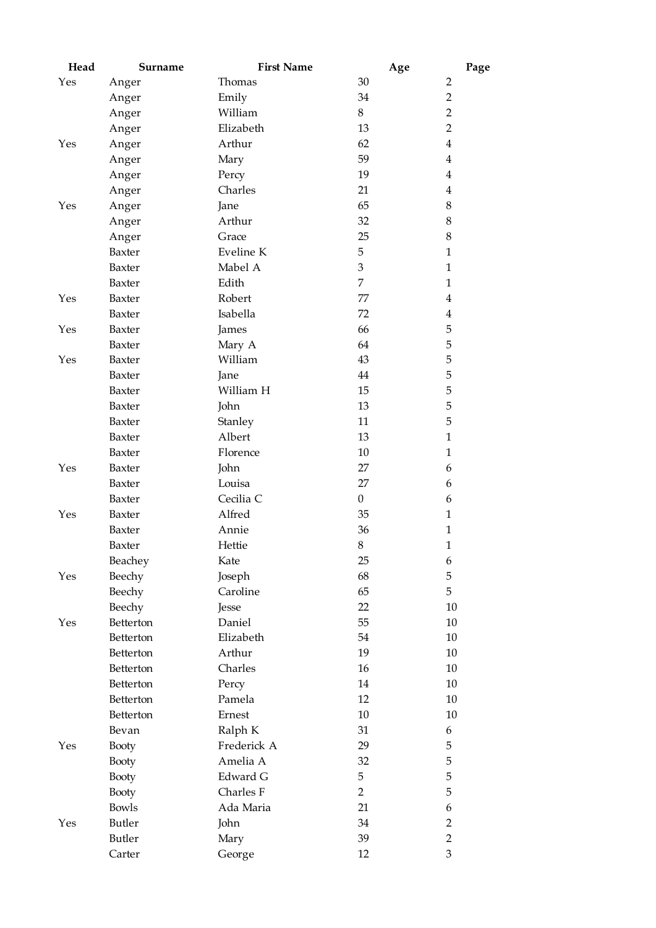| Head | Surname      | <b>First Name</b> | Age            | Page           |
|------|--------------|-------------------|----------------|----------------|
| Yes  | Anger        | Thomas            | 30             | $\overline{2}$ |
|      | Anger        | Emily             | 34             | $\overline{2}$ |
|      | Anger        | William           | 8              | $\overline{2}$ |
|      | Anger        | Elizabeth         | 13             | $\overline{2}$ |
| Yes  | Anger        | Arthur            | 62             | $\overline{4}$ |
|      | Anger        | Mary              | 59             | $\overline{4}$ |
|      | Anger        | Percy             | 19             | $\overline{4}$ |
|      | Anger        | Charles           | 21             | $\overline{4}$ |
| Yes  | Anger        | Jane              | 65             | 8              |
|      | Anger        | Arthur            | 32             | $8\,$          |
|      | Anger        | Grace             | 25             | $\,8\,$        |
|      | Baxter       | Eveline K         | 5              | $\mathbf{1}$   |
|      | Baxter       | Mabel A           | 3              | $\mathbf{1}$   |
|      | Baxter       | Edith             | $\overline{7}$ | $\mathbf{1}$   |
| Yes  | Baxter       | Robert            | 77             | $\overline{4}$ |
|      | Baxter       | Isabella          | 72             | 4              |
| Yes  | Baxter       | James             | 66             | 5              |
|      | Baxter       | Mary A            | 64             | 5              |
| Yes  | Baxter       | William           | 43             | 5              |
|      | Baxter       | Jane              | 44             | 5              |
|      | Baxter       | William H         | 15             | 5              |
|      | Baxter       | John              | 13             | 5              |
|      | Baxter       | Stanley           | 11             | 5              |
|      | Baxter       | Albert            | 13             | $\mathbf{1}$   |
|      | Baxter       | Florence          | 10             | $\mathbf{1}$   |
| Yes  | Baxter       | John              | 27             | 6              |
|      | Baxter       | Louisa            | 27             | 6              |
|      | Baxter       | Cecilia C         | $\overline{0}$ | 6              |
| Yes  | Baxter       | Alfred            | 35             | $\mathbf{1}$   |
|      | Baxter       | Annie             | 36             | $\mathbf{1}$   |
|      | Baxter       | Hettie            | 8              | $\mathbf{1}$   |
|      | Beachey      | Kate              | 25             | 6              |
| Yes  | Beechy       | Joseph            | 68             | 5              |
|      | Beechy       | Caroline          | 65             | 5              |
|      | Beechy       | Jesse             | 22             | 10             |
| Yes  | Betterton    | Daniel            | 55             | 10             |
|      | Betterton    | Elizabeth         | 54             | 10             |
|      | Betterton    | Arthur            | 19             | 10             |
|      | Betterton    | Charles           | $16\,$         | 10             |
|      | Betterton    | Percy             | 14             | 10             |
|      | Betterton    | Pamela            | 12             | 10             |
|      | Betterton    | Ernest            | $10\,$         | 10             |
|      | Bevan        | Ralph K           | 31             | 6              |
| Yes  | <b>Booty</b> | Frederick A       | 29             | 5              |
|      | Booty        | Amelia A          | 32             | 5              |
|      | <b>Booty</b> | Edward G          | 5              | 5              |
|      | Booty        | Charles F         | $\overline{2}$ | 5              |
|      | <b>Bowls</b> | Ada Maria         | 21             | 6              |
| Yes  | Butler       | John              | 34             | $\overline{2}$ |
|      | Butler       | Mary              | 39             | $\overline{2}$ |
|      | Carter       | George            | 12             | 3              |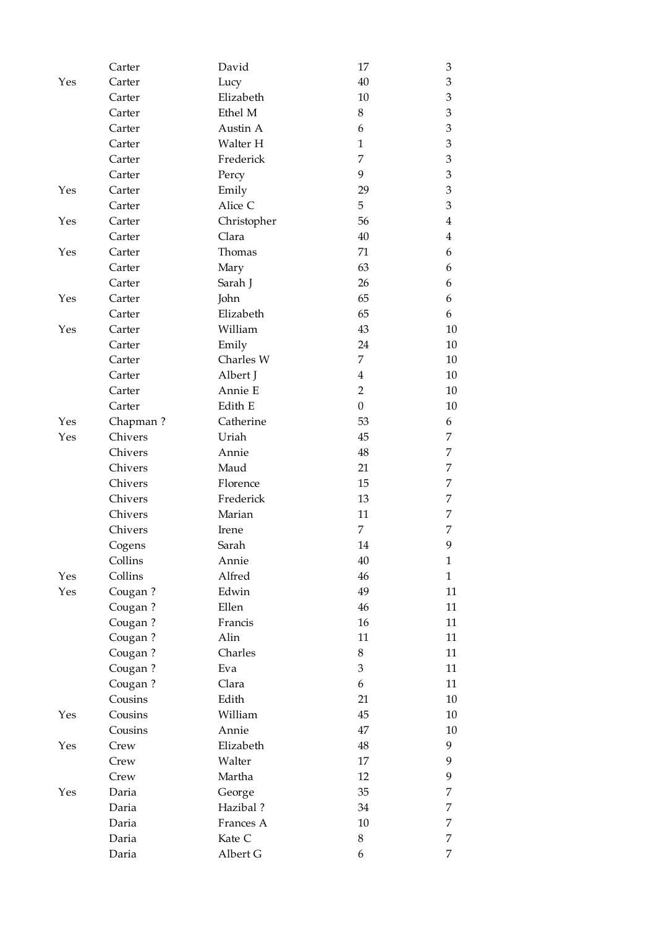|     | Carter   | David       | 17               | 3              |
|-----|----------|-------------|------------------|----------------|
| Yes | Carter   | Lucy        | 40               | 3              |
|     | Carter   | Elizabeth   | 10               | 3              |
|     | Carter   | Ethel M     | 8                | 3              |
|     | Carter   | Austin A    | 6                | $\mathfrak{Z}$ |
|     | Carter   | Walter H    | $\mathbf{1}$     | 3              |
|     | Carter   | Frederick   | 7                | 3              |
|     | Carter   | Percy       | 9                | 3              |
| Yes | Carter   | Emily       | 29               | $\,3$          |
|     | Carter   | Alice C     | 5                | 3              |
| Yes | Carter   | Christopher | 56               | 4              |
|     | Carter   | Clara       | 40               | $\overline{4}$ |
| Yes | Carter   | Thomas      | 71               | 6              |
|     | Carter   | Mary        | 63               | 6              |
|     | Carter   | Sarah J     | 26               | 6              |
| Yes | Carter   | John        | 65               | 6              |
|     | Carter   | Elizabeth   | 65               | 6              |
| Yes | Carter   | William     | 43               | 10             |
|     | Carter   | Emily       | 24               | 10             |
|     | Carter   | Charles W   | $\overline{7}$   | 10             |
|     | Carter   | Albert J    | $\overline{4}$   | 10             |
|     | Carter   | Annie E     | $\overline{2}$   | 10             |
|     | Carter   | Edith E     | $\boldsymbol{0}$ | 10             |
| Yes | Chapman? | Catherine   | 53               | 6              |
| Yes | Chivers  | Uriah       | 45               | 7              |
|     | Chivers  | Annie       | 48               | 7              |
|     | Chivers  | Maud        | 21               | 7              |
|     | Chivers  | Florence    | 15               | 7              |
|     | Chivers  | Frederick   | 13               | 7              |
|     | Chivers  | Marian      | 11               | 7              |
|     | Chivers  | Irene       | 7                | 7              |
|     | Cogens   | Sarah       | 14               | 9              |
|     | Collins  | Annie       | $40\,$           | 1              |
| Yes | Collins  | Alfred      | 46               | $\mathbf{1}$   |
| Yes | Cougan?  | Edwin       | 49               | 11             |
|     | Cougan?  | Ellen       | 46               | 11             |
|     | Cougan?  | Francis     | 16               | 11             |
|     | Cougan?  | Alin        | 11               | 11             |
|     | Cougan?  | Charles     | 8                | 11             |
|     | Cougan?  | Eva         | 3                | 11             |
|     | Cougan?  | Clara       | 6                | 11             |
|     | Cousins  | Edith       | 21               | $10\,$         |
| Yes | Cousins  | William     | 45               | 10             |
|     | Cousins  | Annie       | 47               | $10\,$         |
| Yes | Crew     | Elizabeth   | $\rm 48$         | 9              |
|     | Crew     | Walter      | 17               | 9              |
|     | Crew     | Martha      | 12               | 9              |
| Yes | Daria    | George      | 35               | 7              |
|     | Daria    | Hazibal?    | 34               | 7              |
|     | Daria    | Frances A   | $10\,$           | 7              |
|     | Daria    | Kate C      | $\,8\,$          | 7              |
|     | Daria    | Albert G    | 6                | 7              |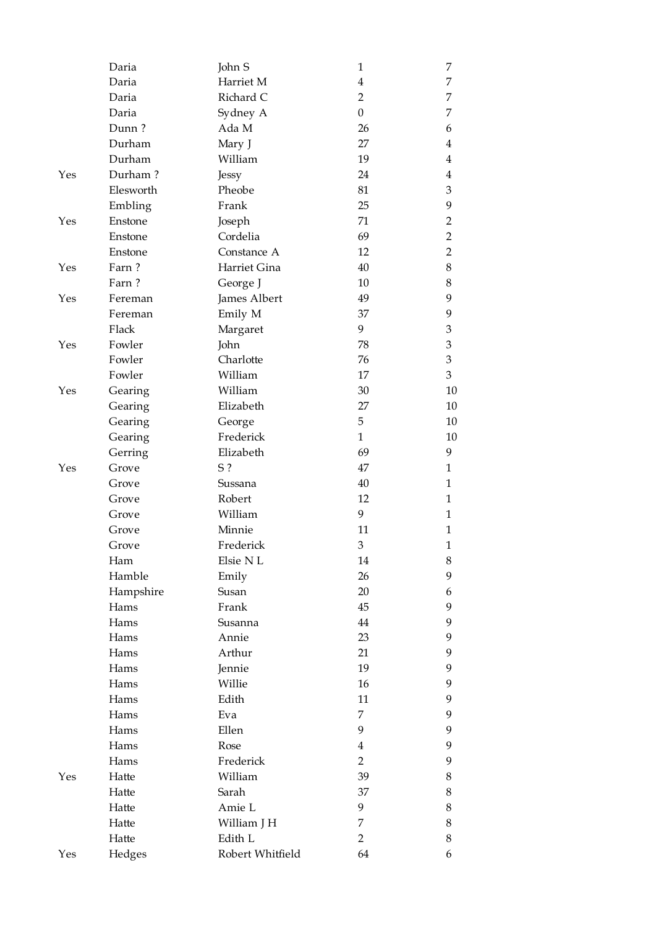|     | Daria             | John S           | $\mathbf{1}$     | 7              |
|-----|-------------------|------------------|------------------|----------------|
|     | Daria             | Harriet M        | $\overline{4}$   | 7              |
|     | Daria             | Richard C        | $\overline{2}$   | 7              |
|     | Daria             | Sydney A         | $\boldsymbol{0}$ | 7              |
|     | Dunn?             | Ada M            | 26               | 6              |
|     | Durham            | Mary J           | 27               | 4              |
|     | Durham            | William          | 19               | 4              |
| Yes | Durham?           | Jessy            | 24               | 4              |
|     | Elesworth         | Pheobe           | 81               | 3              |
|     | Embling           | Frank            | 25               | 9              |
| Yes | Enstone           | Joseph           | 71               | $\overline{2}$ |
|     | Enstone           | Cordelia         | 69               | $\overline{2}$ |
|     | Enstone           | Constance A      | 12               | $\overline{2}$ |
| Yes | Farn?             | Harriet Gina     | 40               | 8              |
|     | Farn?             | George J         | 10               | 8              |
| Yes | Fereman           | James Albert     | 49               | 9              |
|     | Fereman           | Emily M          | 37               | 9              |
|     | Flack             | Margaret         | 9                | 3              |
| Yes | Fowler            | John             | 78               | 3              |
|     | Fowler            | Charlotte        | 76               | 3              |
|     | Fowler            | William          | 17               | 3              |
| Yes | Gearing           | William          | 30               | 10             |
|     | Gearing           | Elizabeth        | 27               | 10             |
|     | Gearing           | George           | 5                | 10             |
|     | Gearing           | Frederick        | $\mathbf{1}$     | 10             |
|     | Gerring           | Elizabeth        | 69               | 9              |
| Yes | Grove             | $S$ ?            | 47               | $\mathbf{1}$   |
|     | Grove             | Sussana          | 40               | 1              |
|     | Grove             | Robert           | 12               | 1              |
|     | Grove             | William          | 9                | $\mathbf{1}$   |
|     | Grove             | Minnie           | 11               | 1              |
|     | Grove             | Frederick        | $\mathfrak{B}$   | $\mathbf{1}$   |
|     | Ham               | Elsie NL         | 14               | 8              |
|     | Hamble            | Emily            | 26               | 9              |
|     |                   | Susan            | 20               |                |
|     | Hampshire<br>Hams | Frank            | 45               | 6<br>9         |
|     | Hams              | Susanna          | $44\,$           | 9              |
|     | Hams              | Annie            | 23               | 9              |
|     | Hams              | Arthur           | 21               | 9              |
|     | Hams              |                  | 19               |                |
|     | Hams              | Jennie           | 16               | 9              |
|     |                   | Willie           |                  | 9              |
|     | Hams              | Edith            | 11<br>7          | 9<br>9         |
|     | Hams              | Eva              |                  |                |
|     | Hams              | Ellen            | 9                | 9              |
|     | Hams              | Rose             | $\overline{4}$   | 9              |
|     | Hams              | Frederick        | $\overline{2}$   | 9              |
| Yes | Hatte             | William          | 39               | 8              |
|     | Hatte             | Sarah            | 37               | 8              |
|     | Hatte             | Amie L           | 9                | 8              |
|     | Hatte             | William J H      | 7                | 8              |
|     | Hatte             | Edith L          | $\overline{2}$   | 8              |
| Yes | Hedges            | Robert Whitfield | 64               | 6              |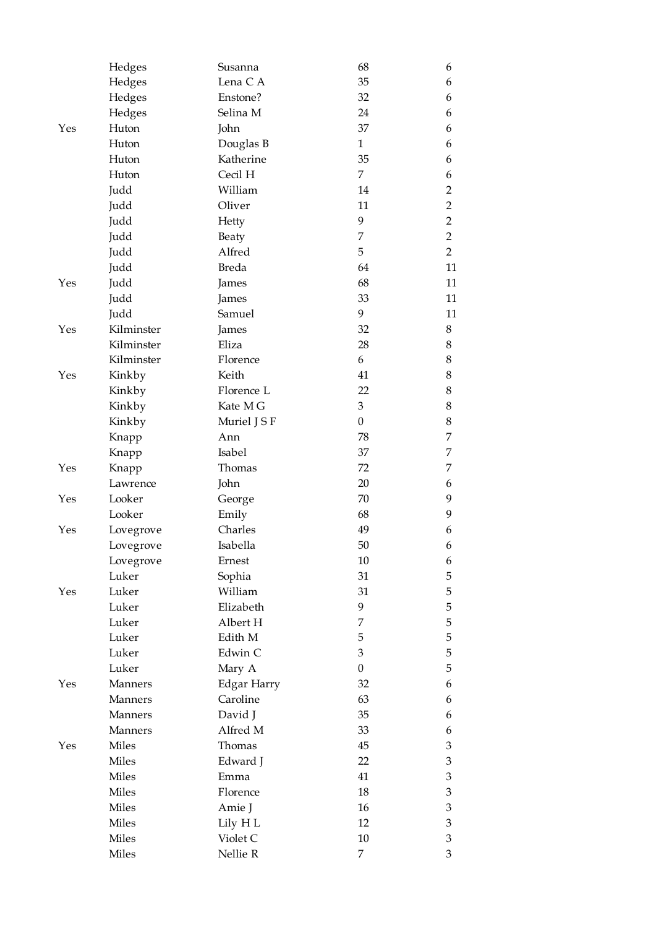|     | Hedges             | Susanna                 | 68               | 6              |
|-----|--------------------|-------------------------|------------------|----------------|
|     | Hedges             | Lena C A                | 35               | 6              |
|     | Hedges             | Enstone?                | 32               | 6              |
|     | Hedges             | Selina M                | 24               | 6              |
| Yes | Huton              | John                    | 37               | 6              |
|     | Huton              | Douglas B               | $\mathbf{1}$     | 6              |
|     | Huton              | Katherine               | 35               | 6              |
|     | Huton              | Cecil H                 | $\overline{7}$   | 6              |
|     | Judd               | William                 | 14               | $\overline{2}$ |
|     | Judd               | Oliver                  | 11               | $\overline{2}$ |
|     | Judd               | Hetty                   | 9                | $\overline{2}$ |
|     | Judd               | Beaty                   | 7                | $\overline{2}$ |
|     | Judd               | Alfred                  | 5                | $\overline{2}$ |
|     | Judd               | <b>Breda</b>            | 64               | 11             |
| Yes | Judd               | James                   | 68               | 11             |
|     | Judd               | James                   | 33               | 11             |
|     | Judd               | Samuel                  | 9                | 11             |
| Yes | Kilminster         | James                   | 32               | 8              |
|     | Kilminster         | Eliza                   | 28               | 8              |
|     | Kilminster         | Florence                | 6                | 8              |
| Yes | Kinkby             | Keith                   | 41               | 8              |
|     | Kinkby             | Florence L              | 22               | 8              |
|     | Kinkby             | Kate M G                | 3                | 8              |
|     | Kinkby             | Muriel J S F            | $\boldsymbol{0}$ | 8              |
|     | Knapp              | Ann                     | 78               | 7              |
|     | Knapp              | Isabel                  | 37               | 7              |
| Yes | Knapp              | Thomas                  | 72               | 7              |
|     | Lawrence           | John                    | 20               | 6              |
| Yes | Looker             | George                  | 70               | 9              |
|     | Looker             | Emily                   | 68               | 9              |
| Yes | Lovegrove          | Charles                 | 49               | 6              |
|     | Lovegrove          | Isabella                | 50               | 6              |
|     |                    | Ernest                  | $10\,$           | 6              |
|     | Lovegrove<br>Luker | Sophia                  | 31               | 5              |
| Yes | Luker              | William                 | 31               | 5              |
|     | Luker              | Elizabeth               | 9                | 5              |
|     | Luker              | Albert H                | 7                | 5              |
|     | Luker              | Edith M                 | 5                | 5              |
|     | Luker              | Edwin C                 | 3                | 5              |
|     | Luker              | Mary A                  | $\boldsymbol{0}$ | 5              |
|     | Manners            |                         | 32               |                |
| Yes | Manners            | Edgar Harry<br>Caroline | 63               | 6              |
|     |                    |                         | 35               | 6              |
|     | Manners            | David J<br>Alfred M     |                  | 6              |
|     | Manners<br>Miles   | Thomas                  | 33               | 6              |
| Yes |                    |                         | 45               | 3              |
|     | Miles              | Edward J                | 22               | 3              |
|     | Miles              | Emma                    | 41               | 3              |
|     | Miles              | Florence                | 18               | 3              |
|     | Miles              | Amie J                  | 16               | 3              |
|     | Miles              | Lily H L                | 12               | 3              |
|     | Miles              | Violet C                | $10\,$           | 3              |
|     | Miles              | Nellie R                | 7                | 3              |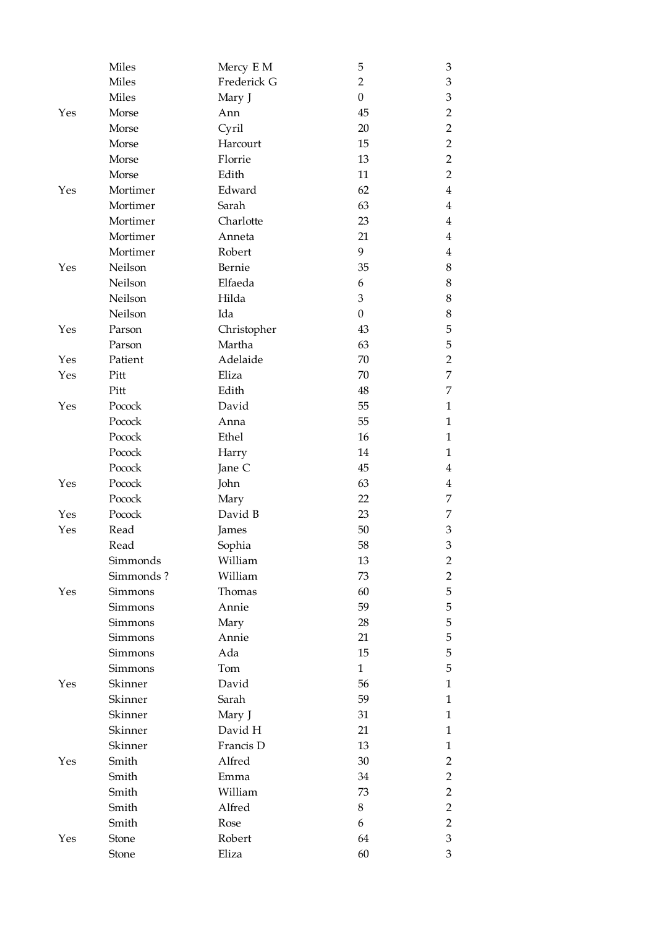|     | Miles          | Mercy E M   | 5                | 3              |
|-----|----------------|-------------|------------------|----------------|
|     | <b>Miles</b>   | Frederick G | $\overline{2}$   | $\mathfrak{Z}$ |
|     | <b>Miles</b>   | Mary J      | $\boldsymbol{0}$ | $\mathfrak{Z}$ |
| Yes | Morse          | Ann         | 45               | $\overline{2}$ |
|     | Morse          | Cyril       | 20               | $\overline{2}$ |
|     | Morse          | Harcourt    | 15               | $\overline{2}$ |
|     | Morse          | Florrie     | 13               | $\overline{2}$ |
|     | Morse          | Edith       | 11               | $\overline{2}$ |
| Yes | Mortimer       | Edward      | 62               | $\overline{4}$ |
|     | Mortimer       | Sarah       | 63               | $\overline{4}$ |
|     | Mortimer       | Charlotte   | 23               | $\overline{4}$ |
|     | Mortimer       | Anneta      | 21               | $\overline{4}$ |
|     | Mortimer       | Robert      | 9                | $\overline{4}$ |
| Yes | Neilson        | Bernie      | 35               | $8\,$          |
|     | Neilson        | Elfaeda     | 6                | $8\,$          |
|     | Neilson        | Hilda       | 3                | $8\,$          |
|     | Neilson        | Ida         | $\boldsymbol{0}$ | $8\,$          |
| Yes | Parson         | Christopher | 43               | 5              |
|     | Parson         | Martha      | 63               | 5              |
| Yes | Patient        | Adelaide    | 70               | $\overline{2}$ |
| Yes | Pitt           | Eliza       | 70               | $\overline{7}$ |
|     | Pitt           | Edith       | 48               | $\overline{7}$ |
| Yes | Pocock         | David       | 55               | 1              |
|     | Pocock         | Anna        | 55               | $\mathbf{1}$   |
|     | Pocock         | Ethel       | 16               | $\mathbf{1}$   |
|     | Pocock         | Harry       | 14               | 1              |
|     | Pocock         | Jane C      | 45               | 4              |
| Yes | Pocock         | John        | 63               | $\overline{4}$ |
|     | Pocock         | Mary        | 22               | 7              |
| Yes | Pocock         | David B     | 23               | 7              |
| Yes | Read           | James       | 50               | 3              |
|     | Read           | Sophia      | 58               | 3              |
|     | Simmonds       | William     | 13               | $\overline{2}$ |
|     | Simmonds?      | William     | 73               | 2              |
| Yes | <b>Simmons</b> | Thomas      | 60               | 5              |
|     | Simmons        | Annie       | 59               | 5              |
|     | Simmons        | Mary        | 28               | 5              |
|     | <b>Simmons</b> | Annie       | 21               | 5              |
|     | Simmons        | Ada         | 15               | 5              |
|     | <b>Simmons</b> | Tom         | $\mathbf{1}$     | 5              |
| Yes | Skinner        | David       | 56               | $\mathbf{1}$   |
|     | Skinner        | Sarah       | 59               | $\mathbf{1}$   |
|     | Skinner        | Mary J      | 31               | $\mathbf{1}$   |
|     | Skinner        | David H     | 21               | $\mathbf{1}$   |
|     | Skinner        | Francis D   | 13               | $\mathbf{1}$   |
| Yes | Smith          | Alfred      | 30               | 2              |
|     | Smith          | Emma        | 34               | $\overline{2}$ |
|     | Smith          | William     | 73               | $\overline{2}$ |
|     | Smith          | Alfred      | 8                | $\overline{2}$ |
|     | Smith          | Rose        | 6                | $\overline{2}$ |
| Yes | Stone          | Robert      | 64               | 3              |
|     | Stone          | Eliza       | 60               | 3              |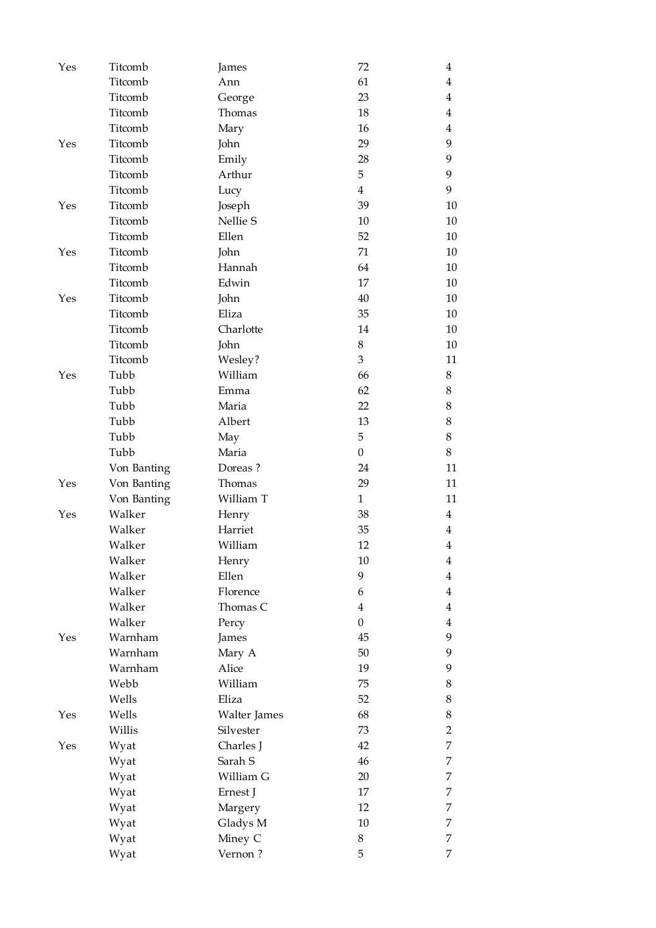| Yes | Titcomb     | James        | 72               | 4              |
|-----|-------------|--------------|------------------|----------------|
|     | Titcomb     | Ann          | 61               | 4              |
|     | Titcomb     | George       | 23               | 4              |
|     | Titcomb     | Thomas       | 18               | 4              |
|     | Titcomb     | Mary         | 16               | 4              |
| Yes | Titcomb     | John         | 29               | 9              |
|     | Titcomb     | Emily        | 28               | 9              |
|     | Titcomb     | Arthur       | 5                | 9              |
|     | Titcomb     | Lucy         | $\overline{4}$   | 9              |
| Yes | Titcomb     | Joseph       | 39               | 10             |
|     | Titcomb     | Nellie S     | 10               | 10             |
|     | Titcomb     | Ellen        | 52               | 10             |
| Yes | Titcomb     | John         | 71               | 10             |
|     | Titcomb     | Hannah       | 64               | 10             |
|     | Titcomb     | Edwin        | 17               | 10             |
| Yes | Titcomb     | John         | 40               | 10             |
|     | Titcomb     | Eliza        | 35               | 10             |
|     | Titcomb     | Charlotte    | 14               | 10             |
|     | Titcomb     | John         | 8                | 10             |
|     | Titcomb     | Wesley?      | 3                | 11             |
| Yes | Tubb        | William      | 66               | 8              |
|     | Tubb        | Emma         | 62               | 8              |
|     | Tubb        | Maria        | 22               | 8              |
|     | Tubb        | Albert       | 13               | $8\,$          |
|     | Tubb        | May          | 5                | 8              |
|     | Tubb        | Maria        | $\boldsymbol{0}$ | 8              |
|     | Von Banting | Doreas?      | 24               | 11             |
| Yes | Von Banting | Thomas       | 29               | 11             |
|     | Von Banting | William T    | $\mathbf{1}$     | 11             |
| Yes | Walker      | Henry        | 38               | $\overline{4}$ |
|     | Walker      | Harriet      | 35               | 4              |
|     | Walker      | William      | 12               | $\overline{4}$ |
|     | Walker      | Henry        | $10\,$           | 4              |
|     | Walker      | Ellen        | 9                | 4              |
|     | Walker      | Florence     | 6                | $\overline{4}$ |
|     | Walker      | Thomas C     | $\overline{4}$   | $\overline{4}$ |
|     | Walker      | Percy        | $\boldsymbol{0}$ | $\overline{4}$ |
| Yes | Warnham     | James        | 45               | 9              |
|     | Warnham     | Mary A       | 50               | 9              |
|     | Warnham     | Alice        | 19               | 9              |
|     | Webb        | William      | 75               | 8              |
|     | Wells       | Eliza        | 52               | 8              |
| Yes | Wells       | Walter James | 68               | 8              |
|     | Willis      | Silvester    | 73               | $\overline{2}$ |
| Yes | Wyat        | Charles J    | 42               | $\overline{7}$ |
|     | Wyat        | Sarah S      | 46               | 7              |
|     | Wyat        | William G    | 20               | 7              |
|     | Wyat        | Ernest J     | 17               | 7              |
|     | Wyat        | Margery      | 12               | 7              |
|     | Wyat        | Gladys M     | $10\,$           | 7              |
|     | Wyat        | Miney C      | 8                | 7              |
|     | Wyat        | Vernon?      | 5                | 7              |